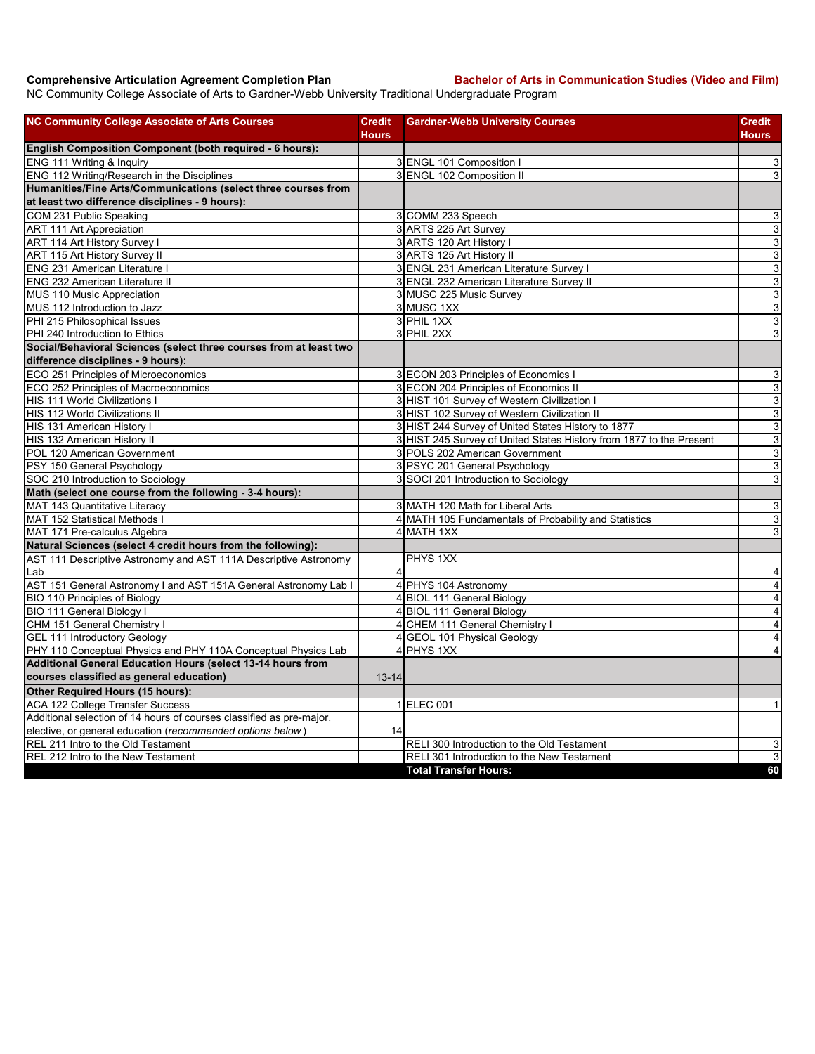**Comprehensive Articulation Agreement Completion Plan Bachelor of Arts in Communication Studies (Video and Film)**

NC Community College Associate of Arts to Gardner-Webb University Traditional Undergraduate Program

| <b>NC Community College Associate of Arts Courses</b>                | <b>Credit</b><br><b>Hours</b> | <b>Gardner-Webb University Courses</b>                              | <b>Credit</b><br>Hours    |
|----------------------------------------------------------------------|-------------------------------|---------------------------------------------------------------------|---------------------------|
| English Composition Component (both required - 6 hours):             |                               |                                                                     |                           |
| ENG 111 Writing & Inquiry                                            |                               | 3 ENGL 101 Composition I                                            | 3                         |
| ENG 112 Writing/Research in the Disciplines                          |                               | 3 ENGL 102 Composition II                                           | $\overline{3}$            |
| Humanities/Fine Arts/Communications (select three courses from       |                               |                                                                     |                           |
| at least two difference disciplines - 9 hours):                      |                               |                                                                     |                           |
| COM 231 Public Speaking                                              |                               | 3 COMM 233 Speech                                                   | 3                         |
| <b>ART 111 Art Appreciation</b>                                      |                               | 3 ARTS 225 Art Survey                                               | $\overline{3}$            |
| ART 114 Art History Survey I                                         |                               | 3 ARTS 120 Art History                                              | 3                         |
| ART 115 Art History Survey II                                        |                               | 3 ARTS 125 Art History II                                           | ω                         |
| <b>ENG 231 American Literature I</b>                                 |                               | 3 ENGL 231 American Literature Survey I                             | $\mathsf 3$               |
| ENG 232 American Literature II                                       |                               | 3 ENGL 232 American Literature Survey II                            | ω                         |
| MUS 110 Music Appreciation                                           |                               | 3 MUSC 225 Music Survey                                             | $\mathbf{3}$              |
| MUS 112 Introduction to Jazz                                         |                               | 3 MUSC 1XX                                                          | $\ensuremath{\mathsf{3}}$ |
| PHI 215 Philosophical Issues                                         |                               | 3 PHIL 1XX                                                          | $\mathbf{3}$              |
| PHI 240 Introduction to Ethics                                       |                               | 3 PHIL 2XX                                                          | $\ensuremath{\mathsf{3}}$ |
| Social/Behavioral Sciences (select three courses from at least two   |                               |                                                                     |                           |
| difference disciplines - 9 hours):                                   |                               |                                                                     |                           |
| ECO 251 Principles of Microeconomics                                 |                               | 3 ECON 203 Principles of Economics I                                | $\ensuremath{\mathsf{3}}$ |
| ECO 252 Principles of Macroeconomics                                 |                               | 3 ECON 204 Principles of Economics II                               | $\overline{3}$            |
| HIS 111 World Civilizations I                                        |                               | 3 HIST 101 Survey of Western Civilization I                         | $\mathsf 3$               |
| <b>HIS 112 World Civilizations II</b>                                |                               | 3 HIST 102 Survey of Western Civilization II                        | $\overline{3}$            |
| HIS 131 American History I                                           |                               | 3 HIST 244 Survey of United States History to 1877                  | 3                         |
| HIS 132 American History II                                          |                               | 3 HIST 245 Survey of United States History from 1877 to the Present | ω                         |
| POL 120 American Government                                          |                               | 3 POLS 202 American Government                                      | $\mathbf{3}$              |
| PSY 150 General Psychology                                           |                               | 3 PSYC 201 General Psychology                                       | 3                         |
| SOC 210 Introduction to Sociology                                    |                               | 3 SOCI 201 Introduction to Sociology                                | 3                         |
| Math (select one course from the following - 3-4 hours):             |                               |                                                                     |                           |
| MAT 143 Quantitative Literacy                                        |                               | 3 MATH 120 Math for Liberal Arts                                    | 3                         |
| MAT 152 Statistical Methods I                                        |                               | 4 MATH 105 Fundamentals of Probability and Statistics               | $\overline{3}$            |
| MAT 171 Pre-calculus Algebra                                         |                               | 4 MATH 1XX                                                          | 3                         |
| Natural Sciences (select 4 credit hours from the following):         |                               |                                                                     |                           |
| AST 111 Descriptive Astronomy and AST 111A Descriptive Astronomy     |                               | PHYS 1XX                                                            |                           |
| Lab                                                                  | 4                             |                                                                     | 4                         |
| AST 151 General Astronomy I and AST 151A General Astronomy Lab I     |                               | 4 PHYS 104 Astronomy                                                | $\overline{\mathbf{4}}$   |
| <b>BIO 110 Principles of Biology</b>                                 |                               | 4 BIOL 111 General Biology                                          | 4                         |
| BIO 111 General Biology I                                            |                               | 4 BIOL 111 General Biology                                          | $\overline{\mathbf{A}}$   |
| CHM 151 General Chemistry I                                          |                               | 4 CHEM 111 General Chemistry I                                      | $\overline{\mathbf{4}}$   |
| <b>GEL 111 Introductory Geology</b>                                  |                               | 4 GEOL 101 Physical Geology                                         | $\overline{\mathbf{r}}$   |
| PHY 110 Conceptual Physics and PHY 110A Conceptual Physics Lab       |                               | 4 PHYS 1XX                                                          | $\overline{4}$            |
| Additional General Education Hours (select 13-14 hours from          |                               |                                                                     |                           |
| courses classified as general education)                             | $13 - 14$                     |                                                                     |                           |
| Other Required Hours (15 hours):                                     |                               |                                                                     |                           |
| <b>ACA 122 College Transfer Success</b>                              |                               | 1 ELEC 001                                                          | $\mathbf{1}$              |
| Additional selection of 14 hours of courses classified as pre-major, |                               |                                                                     |                           |
| elective, or general education (recommended options below)           | 14                            |                                                                     |                           |
| REL 211 Intro to the Old Testament                                   |                               | RELI 300 Introduction to the Old Testament                          | 3                         |
| REL 212 Intro to the New Testament                                   |                               | RELI 301 Introduction to the New Testament                          | 3                         |
|                                                                      |                               | <b>Total Transfer Hours:</b>                                        | 60                        |